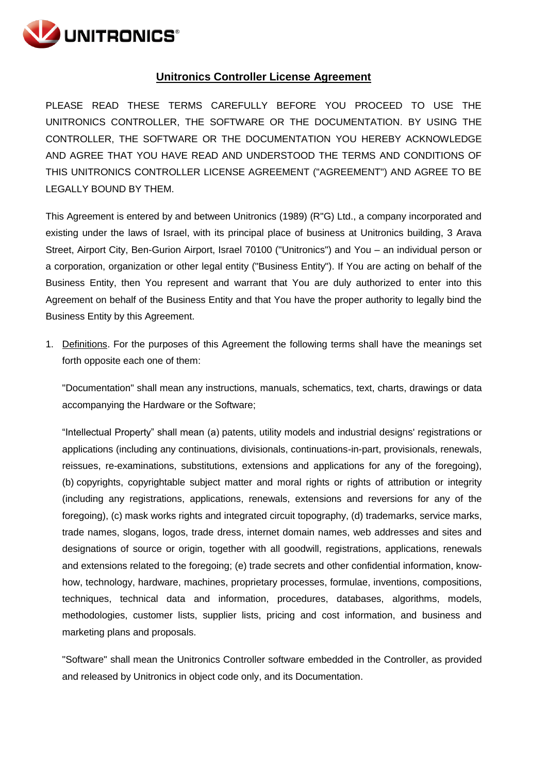

## **Unitronics Controller License Agreement**

PLEASE READ THESE TERMS CAREFULLY BEFORE YOU PROCEED TO USE THE UNITRONICS CONTROLLER, THE SOFTWARE OR THE DOCUMENTATION. BY USING THE CONTROLLER, THE SOFTWARE OR THE DOCUMENTATION YOU HEREBY ACKNOWLEDGE AND AGREE THAT YOU HAVE READ AND UNDERSTOOD THE TERMS AND CONDITIONS OF THIS UNITRONICS CONTROLLER LICENSE AGREEMENT ("AGREEMENT") AND AGREE TO BE LEGALLY BOUND BY THEM.

This Agreement is entered by and between Unitronics (1989) (R"G) Ltd., a company incorporated and existing under the laws of Israel, with its principal place of business at Unitronics building, 3 Arava Street, Airport City, Ben-Gurion Airport, Israel 70100 ("Unitronics") and You – an individual person or a corporation, organization or other legal entity ("Business Entity"). If You are acting on behalf of the Business Entity, then You represent and warrant that You are duly authorized to enter into this Agreement on behalf of the Business Entity and that You have the proper authority to legally bind the Business Entity by this Agreement.

1. Definitions. For the purposes of this Agreement the following terms shall have the meanings set forth opposite each one of them:

"Documentation" shall mean any instructions, manuals, schematics, text, charts, drawings or data accompanying the Hardware or the Software;

"Intellectual Property" shall mean (a) patents, utility models and industrial designs' registrations or applications (including any continuations, divisionals, continuations-in-part, provisionals, renewals, reissues, re-examinations, substitutions, extensions and applications for any of the foregoing), (b) copyrights, copyrightable subject matter and moral rights or rights of attribution or integrity (including any registrations, applications, renewals, extensions and reversions for any of the foregoing), (c) mask works rights and integrated circuit topography, (d) trademarks, service marks, trade names, slogans, logos, trade dress, internet domain names, web addresses and sites and designations of source or origin, together with all goodwill, registrations, applications, renewals and extensions related to the foregoing; (e) trade secrets and other confidential information, knowhow, technology, hardware, machines, proprietary processes, formulae, inventions, compositions, techniques, technical data and information, procedures, databases, algorithms, models, methodologies, customer lists, supplier lists, pricing and cost information, and business and marketing plans and proposals.

"Software" shall mean the Unitronics Controller software embedded in the Controller, as provided and released by Unitronics in object code only, and its Documentation.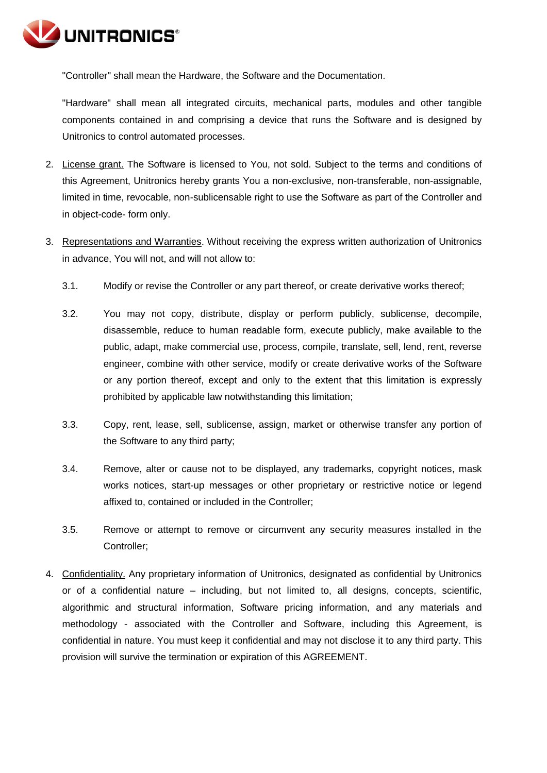

"Controller" shall mean the Hardware, the Software and the Documentation.

"Hardware" shall mean all integrated circuits, mechanical parts, modules and other tangible components contained in and comprising a device that runs the Software and is designed by Unitronics to control automated processes.

- 2. License grant. The Software is licensed to You, not sold. Subject to the terms and conditions of this Agreement, Unitronics hereby grants You a non-exclusive, non-transferable, non-assignable, limited in time, revocable, non-sublicensable right to use the Software as part of the Controller and in object-code- form only.
- 3. Representations and Warranties. Without receiving the express written authorization of Unitronics in advance, You will not, and will not allow to:
	- 3.1. Modify or revise the Controller or any part thereof, or create derivative works thereof;
	- 3.2. You may not copy, distribute, display or perform publicly, sublicense, decompile, disassemble, reduce to human readable form, execute publicly, make available to the public, adapt, make commercial use, process, compile, translate, sell, lend, rent, reverse engineer, combine with other service, modify or create derivative works of the Software or any portion thereof, except and only to the extent that this limitation is expressly prohibited by applicable law notwithstanding this limitation;
	- 3.3. Copy, rent, lease, sell, sublicense, assign, market or otherwise transfer any portion of the Software to any third party;
	- 3.4. Remove, alter or cause not to be displayed, any trademarks, copyright notices, mask works notices, start-up messages or other proprietary or restrictive notice or legend affixed to, contained or included in the Controller;
	- 3.5. Remove or attempt to remove or circumvent any security measures installed in the Controller;
- 4. Confidentiality. Any proprietary information of Unitronics, designated as confidential by Unitronics or of a confidential nature – including, but not limited to, all designs, concepts, scientific, algorithmic and structural information, Software pricing information, and any materials and methodology - associated with the Controller and Software, including this Agreement, is confidential in nature. You must keep it confidential and may not disclose it to any third party. This provision will survive the termination or expiration of this AGREEMENT.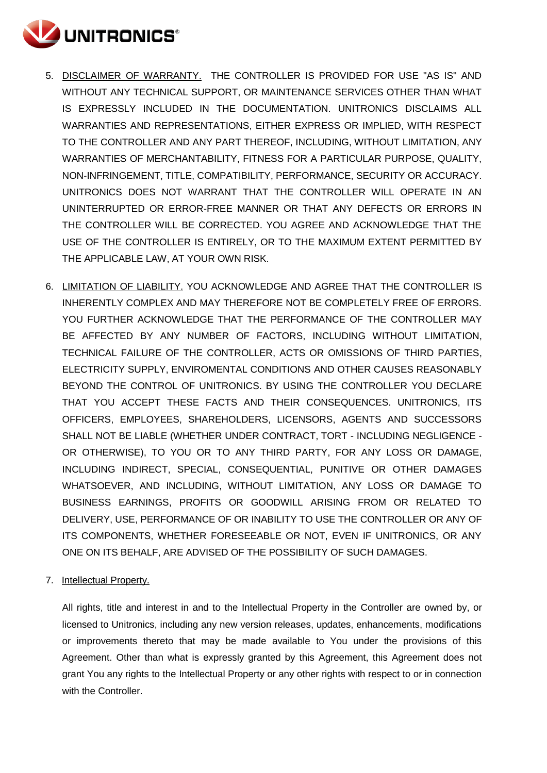

- 5. DISCLAIMER OF WARRANTY. THE CONTROLLER IS PROVIDED FOR USE "AS IS" AND WITHOUT ANY TECHNICAL SUPPORT, OR MAINTENANCE SERVICES OTHER THAN WHAT IS EXPRESSLY INCLUDED IN THE DOCUMENTATION. UNITRONICS DISCLAIMS ALL WARRANTIES AND REPRESENTATIONS, EITHER EXPRESS OR IMPLIED, WITH RESPECT TO THE CONTROLLER AND ANY PART THEREOF, INCLUDING, WITHOUT LIMITATION, ANY WARRANTIES OF MERCHANTABILITY, FITNESS FOR A PARTICULAR PURPOSE, QUALITY, NON-INFRINGEMENT, TITLE, COMPATIBILITY, PERFORMANCE, SECURITY OR ACCURACY. UNITRONICS DOES NOT WARRANT THAT THE CONTROLLER WILL OPERATE IN AN UNINTERRUPTED OR ERROR-FREE MANNER OR THAT ANY DEFECTS OR ERRORS IN THE CONTROLLER WILL BE CORRECTED. YOU AGREE AND ACKNOWLEDGE THAT THE USE OF THE CONTROLLER IS ENTIRELY, OR TO THE MAXIMUM EXTENT PERMITTED BY THE APPLICABLE LAW, AT YOUR OWN RISK.
- 6. LIMITATION OF LIABILITY. YOU ACKNOWLEDGE AND AGREE THAT THE CONTROLLER IS INHERENTLY COMPLEX AND MAY THEREFORE NOT BE COMPLETELY FREE OF ERRORS. YOU FURTHER ACKNOWLEDGE THAT THE PERFORMANCE OF THE CONTROLLER MAY BE AFFECTED BY ANY NUMBER OF FACTORS, INCLUDING WITHOUT LIMITATION, TECHNICAL FAILURE OF THE CONTROLLER, ACTS OR OMISSIONS OF THIRD PARTIES, ELECTRICITY SUPPLY, ENVIROMENTAL CONDITIONS AND OTHER CAUSES REASONABLY BEYOND THE CONTROL OF UNITRONICS. BY USING THE CONTROLLER YOU DECLARE THAT YOU ACCEPT THESE FACTS AND THEIR CONSEQUENCES. UNITRONICS, ITS OFFICERS, EMPLOYEES, SHAREHOLDERS, LICENSORS, AGENTS AND SUCCESSORS SHALL NOT BE LIABLE (WHETHER UNDER CONTRACT, TORT - INCLUDING NEGLIGENCE - OR OTHERWISE), TO YOU OR TO ANY THIRD PARTY, FOR ANY LOSS OR DAMAGE, INCLUDING INDIRECT, SPECIAL, CONSEQUENTIAL, PUNITIVE OR OTHER DAMAGES WHATSOEVER, AND INCLUDING, WITHOUT LIMITATION, ANY LOSS OR DAMAGE TO BUSINESS EARNINGS, PROFITS OR GOODWILL ARISING FROM OR RELATED TO DELIVERY, USE, PERFORMANCE OF OR INABILITY TO USE THE CONTROLLER OR ANY OF ITS COMPONENTS, WHETHER FORESEEABLE OR NOT, EVEN IF UNITRONICS, OR ANY ONE ON ITS BEHALF, ARE ADVISED OF THE POSSIBILITY OF SUCH DAMAGES.
- 7. Intellectual Property.

All rights, title and interest in and to the Intellectual Property in the Controller are owned by, or licensed to Unitronics, including any new version releases, updates, enhancements, modifications or improvements thereto that may be made available to You under the provisions of this Agreement. Other than what is expressly granted by this Agreement, this Agreement does not grant You any rights to the Intellectual Property or any other rights with respect to or in connection with the Controller.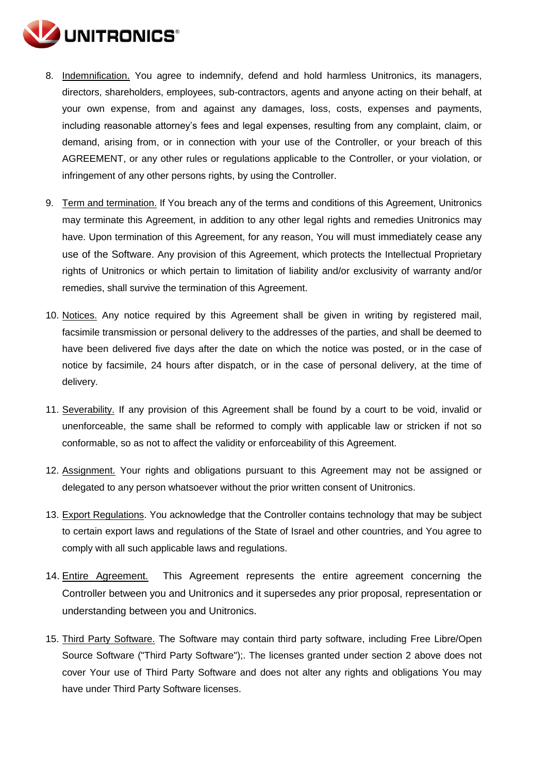

- 8. Indemnification. You agree to indemnify, defend and hold harmless Unitronics, its managers, directors, shareholders, employees, sub-contractors, agents and anyone acting on their behalf, at your own expense, from and against any damages, loss, costs, expenses and payments, including reasonable attorney's fees and legal expenses, resulting from any complaint, claim, or demand, arising from, or in connection with your use of the Controller, or your breach of this AGREEMENT, or any other rules or regulations applicable to the Controller, or your violation, or infringement of any other persons rights, by using the Controller.
- 9. Term and termination. If You breach any of the terms and conditions of this Agreement, Unitronics may terminate this Agreement, in addition to any other legal rights and remedies Unitronics may have. Upon termination of this Agreement, for any reason, You will must immediately cease any use of the Software. Any provision of this Agreement, which protects the Intellectual Proprietary rights of Unitronics or which pertain to limitation of liability and/or exclusivity of warranty and/or remedies, shall survive the termination of this Agreement.
- 10. Notices. Any notice required by this Agreement shall be given in writing by registered mail, facsimile transmission or personal delivery to the addresses of the parties, and shall be deemed to have been delivered five days after the date on which the notice was posted, or in the case of notice by facsimile, 24 hours after dispatch, or in the case of personal delivery, at the time of delivery.
- 11. Severability. If any provision of this Agreement shall be found by a court to be void, invalid or unenforceable, the same shall be reformed to comply with applicable law or stricken if not so conformable, so as not to affect the validity or enforceability of this Agreement.
- 12. Assignment. Your rights and obligations pursuant to this Agreement may not be assigned or delegated to any person whatsoever without the prior written consent of Unitronics.
- 13. Export Regulations. You acknowledge that the Controller contains technology that may be subject to certain export laws and regulations of the State of Israel and other countries, and You agree to comply with all such applicable laws and regulations.
- 14. Entire Agreement. This Agreement represents the entire agreement concerning the Controller between you and Unitronics and it supersedes any prior proposal, representation or understanding between you and Unitronics.
- 15. Third Party Software. The Software may contain third party software, including Free Libre/Open Source Software ("Third Party Software");. The licenses granted under section 2 above does not cover Your use of Third Party Software and does not alter any rights and obligations You may have under Third Party Software licenses.